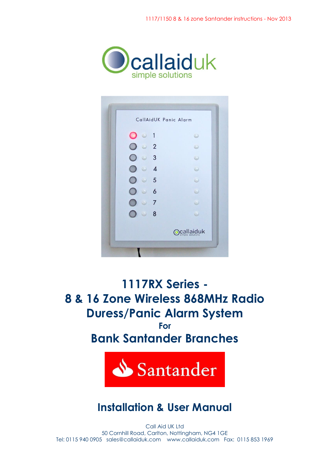

| O<br>$\circ$      | 1                        | O          |
|-------------------|--------------------------|------------|
| $\cup$            | $\overline{2}$           |            |
| $\cup$<br>$\odot$ | $\overline{\mathbf{3}}$  | 9          |
| $\odot$           | $\overline{\mathcal{A}}$ | e          |
| $\bigcirc$<br>D   | $5^{\circ}$              | ۰          |
| $(1 - 1)$<br>Đ    | $\overline{6}$           |            |
| $\bigcirc$ .      | 7                        |            |
| $\circ$           | 8                        | ω          |
|                   |                          | Ocallaiduk |

**1117RX Series - 8 & 16 Zone Wireless 868MHz Radio Duress/Panic Alarm System For Bank Santander Branches**



# **Installation & User Manual**

Call Aid UK Ltd 50 Cornhill Road, Carlton, Nottingham, NG4 1GE Tel: 0115 940 0905 sales@callaiduk.com www.callaiduk.com Fax: 0115 853 1969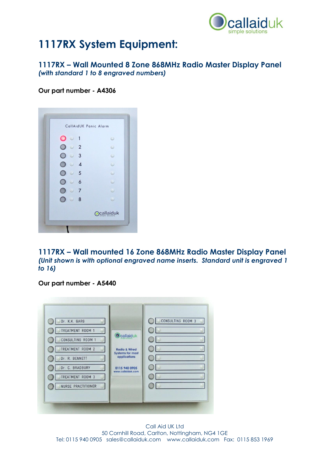

# **1117RX System Equipment:**

### **1117RX – Wall Mounted 8 Zone 868MHz Radio Master Display Panel**  *(with standard 1 to 8 engraved numbers)*

**Our part number - A4306** 

|                       |                         | CallAidUK Panic Alarm |
|-----------------------|-------------------------|-----------------------|
| O<br>$\circ$ 1        |                         | $\odot$               |
| $\bullet$ 2<br>$\cup$ |                         |                       |
| $\odot$<br>$\cup$     | $\overline{\mathbf{3}}$ | O                     |
| $\circ$<br>Đ          | $\overline{4}$          |                       |
| $\circ$<br>$\Box$     | 5                       |                       |
| $\circ$<br>$\Box$     | $\overline{6}$          |                       |
| D                     | $\cup$ 7                |                       |
| $\odot$<br>Đ          | 8                       | ω                     |
|                       |                         | <b>Ocallaiduk</b>     |

**1117RX – Wall mounted 16 Zone 868MHz Radio Master Display Panel**  *(Unit shown is with optional engraved name inserts. Standard unit is engraved 1 to 16)*

**Our part number - A5440**

| Dr. K.K. GARG<br>TREATMENT ROOM 1<br>CONSULTING ROOM 1<br>TREATMENT ROOM 2<br>Dr. R. BENNETT<br>Dr. C. BRADBURY<br>TREATMENT ROOM 3<br>NURSE PRACTITIONER | <b>O</b> callaiduk<br><b>Radio &amp; Wired</b><br><b>Systems for most</b><br>applications<br>0115 940 0905<br>www.callaiduk.com | CONSULTING ROOM 3 |  |
|-----------------------------------------------------------------------------------------------------------------------------------------------------------|---------------------------------------------------------------------------------------------------------------------------------|-------------------|--|
|-----------------------------------------------------------------------------------------------------------------------------------------------------------|---------------------------------------------------------------------------------------------------------------------------------|-------------------|--|

Call Aid UK Ltd 50 Cornhill Road, Carlton, Nottingham, NG4 1GE Tel: 0115 940 0905 sales@callaiduk.com www.callaiduk.com Fax: 0115 853 1969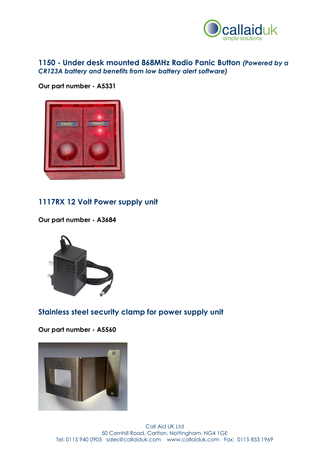

### **1150 - Under desk mounted 868MHz Radio Panic Button** *(Powered by a CR123A battery and benefits from low battery alert software)*

**Our part number - A5331**



### **1117RX 12 Volt Power supply unit**

**Our part number - A3684**



### **Stainless steel security clamp for power supply unit**

**Our part number - A5560**

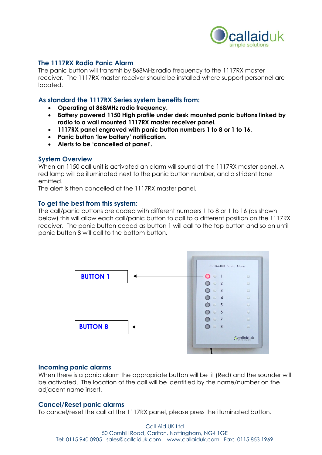

#### **The 1117RX Radio Panic Alarm**

The panic button will transmit by 868MHz radio frequency to the 1117RX master receiver. The 1117RX master receiver should be installed where support personnel are located.

#### **As standard the 1117RX Series system benefits from:**

- **Operating at 868MHz radio frequency.**
- **Battery powered 1150 High profile under desk mounted panic buttons linked by radio to a wall mounted 1117RX master receiver panel.**
- **1117RX panel engraved with panic button numbers 1 to 8 or 1 to 16.**
- **Panic button 'low battery' notification.**
- **Alerts to be 'cancelled at panel'.**

#### **System Overview**

When an 1150 call unit is activated an alarm will sound at the 1117RX master panel. A red lamp will be illuminated next to the panic button number, and a strident tone emitted.

The alert is then cancelled at the 1117RX master panel.

#### **To get the best from this system:**

The call/panic buttons are coded with different numbers 1 to 8 or 1 to 16 (as shown below) this will allow each call/panic button to call to a different position on the 1117RX receiver. The panic button coded as button 1 will call to the top button and so on until panic button 8 will call to the bottom button.



#### **Incoming panic alarms**

When there is a panic alarm the appropriate button will be lit (Red) and the sounder will be activated. The location of the call will be identified by the name/number on the adjacent name insert.

#### **Cancel/Reset panic alarms**

To cancel/reset the call at the 1117RX panel, please press the illuminated button.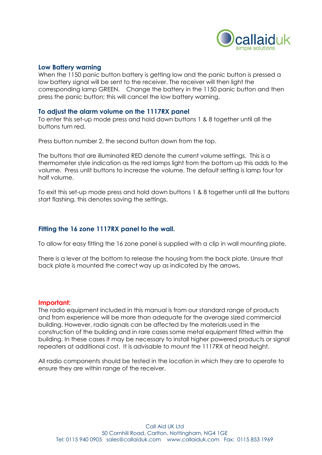

#### **Low Battery warning**

When the 1150 panic button battery is getting low and the panic button is pressed a low battery signal will be sent to the receiver. The receiver will then light the corresponding lamp GREEN. Change the battery in the 1150 panic button and then press the panic button; this will cancel the low battery warning.

#### **To adjust the alarm volume on the 1117RX panel**

To enter this set-up mode press and hold down buttons 1 & 8 together until all the buttons turn red.

Press button number 2, the second button down from the top.

The buttons that are illuminated RED denote the current volume settings. This is a thermometer style indication as the red lamps light from the bottom up this adds to the volume. Press unlit buttons to increase the volume. The default setting is lamp four for half volume.

To exit this set-up mode press and hold down buttons 1 & 8 together until all the buttons start flashing, this denotes saving the settings.

#### **Fitting the 16 zone 1117RX panel to the wall.**

To allow for easy fitting the 16 zone panel is supplied with a clip in wall mounting plate.

There is a lever at the bottom to release the housing from the back plate. Unsure that back plate is mounted the correct way up as indicated by the arrows.

#### **Important:**

The radio equipment included in this manual is from our standard range of products and from experience will be more than adequate for the average sized commercial building. However, radio signals can be affected by the materials used in the construction of the building and in rare cases some metal equipment fitted within the building. In these cases it may be necessary to install higher powered products or signal repeaters at additional cost. It is advisable to mount the 1117RX at head height.

All radio components should be tested in the location in which they are to operate to ensure they are within range of the receiver.